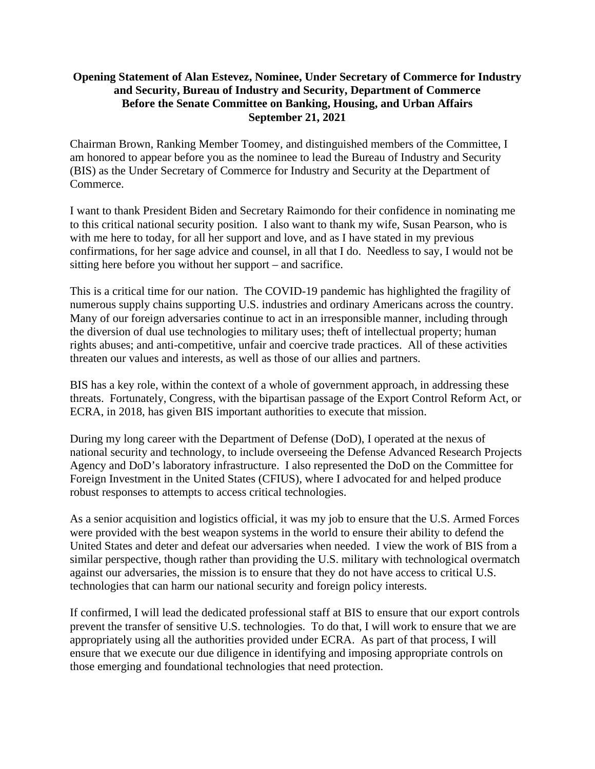## **Opening Statement of Alan Estevez, Nominee, Under Secretary of Commerce for Industry and Security, Bureau of Industry and Security, Department of Commerce Before the Senate Committee on Banking, Housing, and Urban Affairs September 21, 2021**

Chairman Brown, Ranking Member Toomey, and distinguished members of the Committee, I am honored to appear before you as the nominee to lead the Bureau of Industry and Security (BIS) as the Under Secretary of Commerce for Industry and Security at the Department of Commerce.

I want to thank President Biden and Secretary Raimondo for their confidence in nominating me to this critical national security position. I also want to thank my wife, Susan Pearson, who is with me here to today, for all her support and love, and as I have stated in my previous confirmations, for her sage advice and counsel, in all that I do. Needless to say, I would not be sitting here before you without her support – and sacrifice.

This is a critical time for our nation. The COVID-19 pandemic has highlighted the fragility of numerous supply chains supporting U.S. industries and ordinary Americans across the country. Many of our foreign adversaries continue to act in an irresponsible manner, including through the diversion of dual use technologies to military uses; theft of intellectual property; human rights abuses; and anti-competitive, unfair and coercive trade practices. All of these activities threaten our values and interests, as well as those of our allies and partners.

BIS has a key role, within the context of a whole of government approach, in addressing these threats. Fortunately, Congress, with the bipartisan passage of the Export Control Reform Act, or ECRA, in 2018, has given BIS important authorities to execute that mission.

During my long career with the Department of Defense (DoD), I operated at the nexus of national security and technology, to include overseeing the Defense Advanced Research Projects Agency and DoD's laboratory infrastructure. I also represented the DoD on the Committee for Foreign Investment in the United States (CFIUS), where I advocated for and helped produce robust responses to attempts to access critical technologies.

As a senior acquisition and logistics official, it was my job to ensure that the U.S. Armed Forces were provided with the best weapon systems in the world to ensure their ability to defend the United States and deter and defeat our adversaries when needed. I view the work of BIS from a similar perspective, though rather than providing the U.S. military with technological overmatch against our adversaries, the mission is to ensure that they do not have access to critical U.S. technologies that can harm our national security and foreign policy interests.

If confirmed, I will lead the dedicated professional staff at BIS to ensure that our export controls prevent the transfer of sensitive U.S. technologies. To do that, I will work to ensure that we are appropriately using all the authorities provided under ECRA. As part of that process, I will ensure that we execute our due diligence in identifying and imposing appropriate controls on those emerging and foundational technologies that need protection.